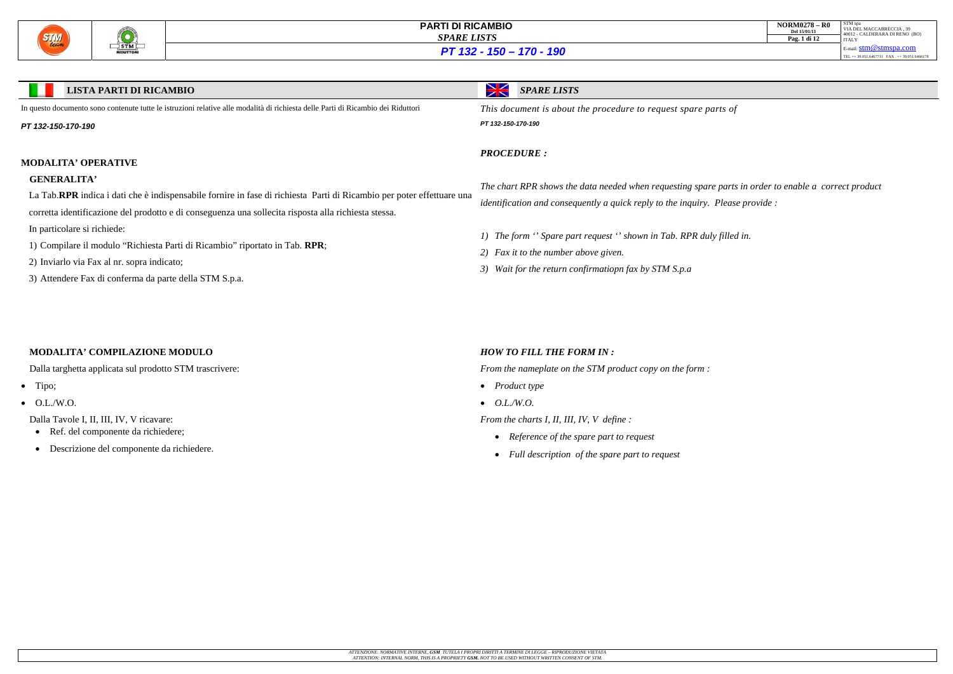

| <b>NORM0278 - R0</b><br>Del 15/01/11 | STM spa<br>VIA DEL MACCABRECCIA. 39<br>40012 - CALDERARA DI RENO (BO) |
|--------------------------------------|-----------------------------------------------------------------------|
| Pag. 1 di 12                         | <b>ITALY</b>                                                          |
|                                      | E-mail: $stm@stmspa.com$                                              |
|                                      | TEL ++ 39.051.6467711 FAX ++ 39.051.6466178                           |

### **LISTA PARTI DI RICAMBIO**

*SPARE LISTS*

In questo documento sono contenute tutte le istruzioni relative alle modalità di richiesta delle Parti di Ricambio dei Riduttori

*PT 132-150-170-190*

### **MODALITA' OPERATIVE**

### **GENERALITA'**

La Tab.**RPR** indica i dati che è indispensabile fornire in fase di richiesta Parti di Ricambio per poter effettuare una

corretta identificazione del prodotto e di conseguenza una sollecita risposta alla richiesta stessa.

- Ref. del componente da richiedere;
- Descrizione del componente da richiedere.
- In particolare si richiede:
- 1) Compilare il modulo "Richiesta Parti di Ricambio" riportato in Tab. **RPR**;
- 2) Inviarlo via Fax al nr. sopra indicato;
- 3) Attendere Fax di conferma da parte della STM S.p.a.

*This document is about the procedure to request spare parts of* 

*PT 132-150-170-190*

*PROCEDURE :* 

*The chart RPR shows the data needed when requesting spare parts in order to enable a correct product identification and consequently a quick reply to the inquiry. Please provide :* 

*1) The form '' Spare part request '' shown in Tab. RPR duly filled in.* 

*2) Fax it to the number above given.* 

*3) Wait for the return confirmatiopn fax by STM S.p.a* 

### **MODALITA' COMPILAZIONE MODULO**

Dalla targhetta applicata sul prodotto STM trascrivere:

- Tipo;
- $\bullet$  O.L./W.O.

Dalla Tavole I, II, III, IV, V ricavare:

### *HOW TO FILL THE FORM IN :*

*From the nameplate on the STM product copy on the form :* 

- *Product type*
- *O.L./W.O.*

*From the charts I, II, III, IV, V define :* 

- *Reference of the spare part to request*
- *Full description of the spare part to request*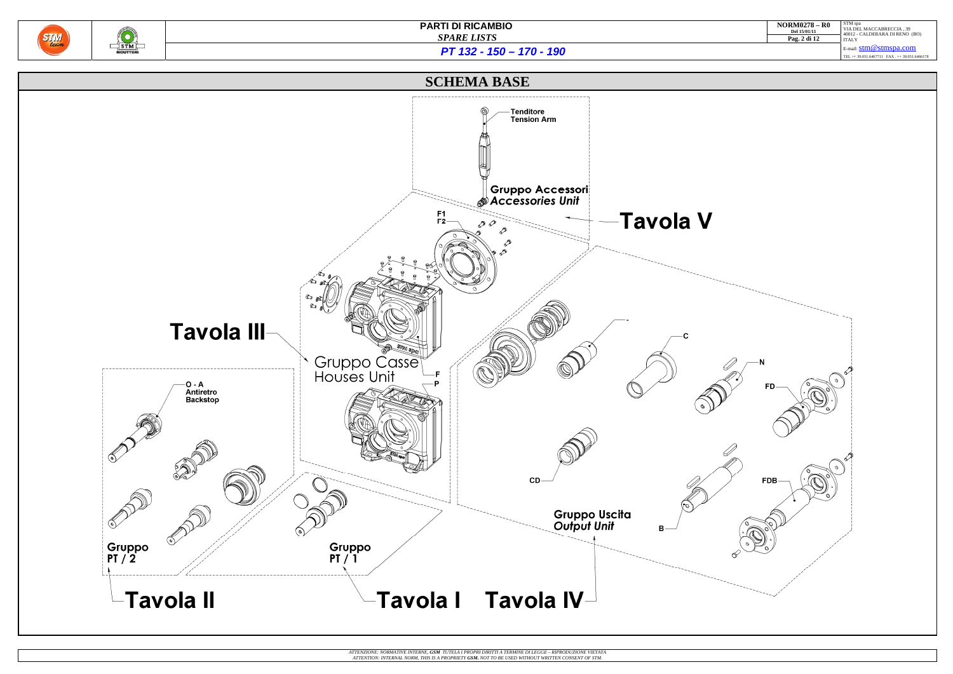



| <b>NORM0278 - R0</b><br>Del 15/01/11 | STM spa<br>VIA DEL MACCABRECCIA, 39<br>40012 - CALDERARA DI RENO (BO) |
|--------------------------------------|-----------------------------------------------------------------------|
| Pag. 2 di 12                         | <b>ITALY</b>                                                          |
|                                      | $E$ -mail: $stm@stmspa.com$                                           |
|                                      | TEL ++ 39.051.6467711 FAX ++ 39.051.6466178                           |
|                                      |                                                                       |
|                                      |                                                                       |

*PT 132 - 150 – 170 - 190*



ATTENZIONE: NORMATIVE INTERNE, **GSM** TUTELA I PROPRI DIRITTI A TERMINE DI LEGGE – RIPRODUZIONE VIETATA<br>ATTENTION: INTERNAL NORM, THIS IS A PROPRIETY **GSM.** NOT TO BE USED WITHOUT WRITTEN CONSENT OF STM.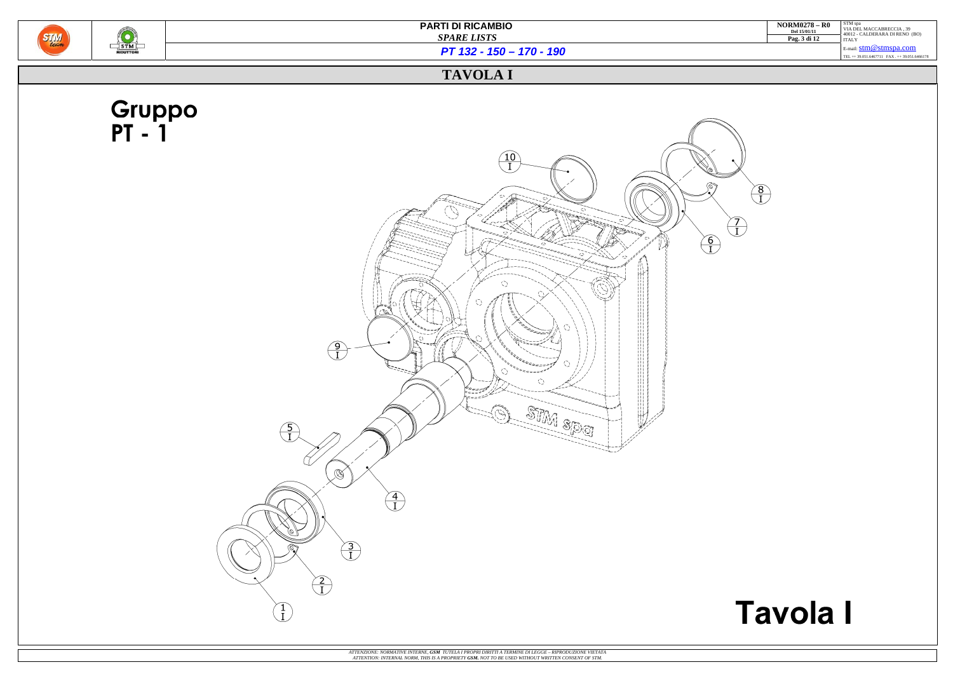

 $\frac{\binom{1}{3} \binom{1}{3}}{\binom{5}{1}}$ 

**PARTI DI RICAMBIO**   *SPARE LISTS*

| <b>NORM0278 - R0</b><br>Del 15/01/11<br>Pag. 3 di 12 | STM spa<br>VIA DEL MACCABRECCIA, 39<br>40012 - CALDERARA DI RENO (BO)<br><b>ITALY</b> |
|------------------------------------------------------|---------------------------------------------------------------------------------------|
|                                                      | E-mail: $stm@stmspa.com$                                                              |
|                                                      | TEL ++ 39.051.6467711 FAX ++ 39.051.6466178                                           |

# **Tavola I**

*PT 132 - 150 – 170 - 190*

## **TAVOLA I**

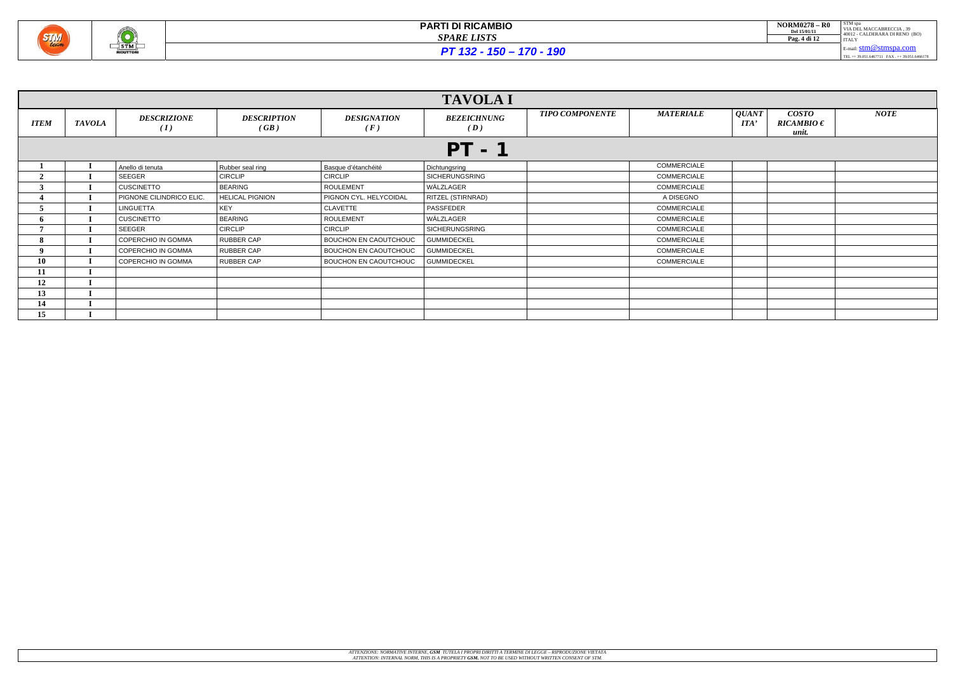

| <b>NORM0278 - R0</b><br>Del 15/01/11 | STM spa<br>VIA DEL MACCABRECCIA. 39<br>40012 - CALDERARA DI RENO (BO) |
|--------------------------------------|-----------------------------------------------------------------------|
| Pag. 4 di 12                         | <b>ITALY</b>                                                          |
|                                      | E-mail: $stm@stmspa.com$                                              |
|                                      | TEL ++ 39.051.6467711 FAX ++ 39.051.6466178                           |

|             |               |                           |                            |                              | <b>TAVOLA I</b>           |                        |                    |                                                                                                    |             |
|-------------|---------------|---------------------------|----------------------------|------------------------------|---------------------------|------------------------|--------------------|----------------------------------------------------------------------------------------------------|-------------|
| <b>ITEM</b> | <b>TAVOLA</b> | <b>DESCRIZIONE</b><br>(I) | <b>DESCRIPTION</b><br>(GB) | <b>DESIGNATION</b><br>(F)    | <b>BEZEICHNUNG</b><br>(D) | <b>TIPO COMPONENTE</b> | <b>MATERIALE</b>   | QUANT<br><b>COSTO</b><br>$\boldsymbol{I} \boldsymbol{I} \boldsymbol{I}$<br>$RICAMBIO \in$<br>unit. | <b>NOTE</b> |
|             |               |                           |                            |                              | <b>PT - 1</b>             |                        |                    |                                                                                                    |             |
|             |               | Anello di tenuta          | Rubber seal ring           | Basque d'étanchéité          | Dichtungsring             |                        | COMMERCIALE        |                                                                                                    |             |
|             |               | SEEGER                    | <b>CIRCLIP</b>             | <b>CIRCLIP</b>               | SICHERUNGSRING            |                        | COMMERCIALE        |                                                                                                    |             |
|             |               | <b>CUSCINETTO</b>         | <b>BEARING</b>             | <b>ROULEMENT</b>             | WÄLZLAGER                 |                        | COMMERCIALE        |                                                                                                    |             |
|             |               | PIGNONE CILINDRICO ELIC.  | <b>HELICAL PIGNION</b>     | PIGNON CYL. HELYCOIDAL       | <b>RITZEL (STIRNRAD)</b>  |                        | A DISEGNO          |                                                                                                    |             |
|             |               | LINGUETTA                 | <b>KEY</b>                 | CLAVETTE                     | PASSFEDER                 |                        | COMMERCIALE        |                                                                                                    |             |
|             |               | <b>CUSCINETTO</b>         | <b>BEARING</b>             | <b>ROULEMENT</b>             | WÄLZLAGER                 |                        | COMMERCIALE        |                                                                                                    |             |
|             |               | SEEGER                    | <b>CIRCLIP</b>             | <b>CIRCLIP</b>               | SICHERUNGSRING            |                        | COMMERCIALE        |                                                                                                    |             |
| 8           |               | COPERCHIO IN GOMMA        | <b>RUBBER CAP</b>          | BOUCHON EN CAOUTCHOUC        | <b>GUMMIDECKEL</b>        |                        | <b>COMMERCIALE</b> |                                                                                                    |             |
| 9           |               | COPERCHIO IN GOMMA        | <b>RUBBER CAP</b>          | BOUCHON EN CAOUTCHOUC        | <b>GUMMIDECKEL</b>        |                        | COMMERCIALE        |                                                                                                    |             |
| 10          |               | COPERCHIO IN GOMMA        | <b>RUBBER CAP</b>          | <b>BOUCHON EN CAOUTCHOUC</b> | <b>GUMMIDECKEL</b>        |                        | <b>COMMERCIALE</b> |                                                                                                    |             |
| 11          |               |                           |                            |                              |                           |                        |                    |                                                                                                    |             |
| 12          |               |                           |                            |                              |                           |                        |                    |                                                                                                    |             |
| 13          |               |                           |                            |                              |                           |                        |                    |                                                                                                    |             |
| 14          |               |                           |                            |                              |                           |                        |                    |                                                                                                    |             |
| 15          |               |                           |                            |                              |                           |                        |                    |                                                                                                    |             |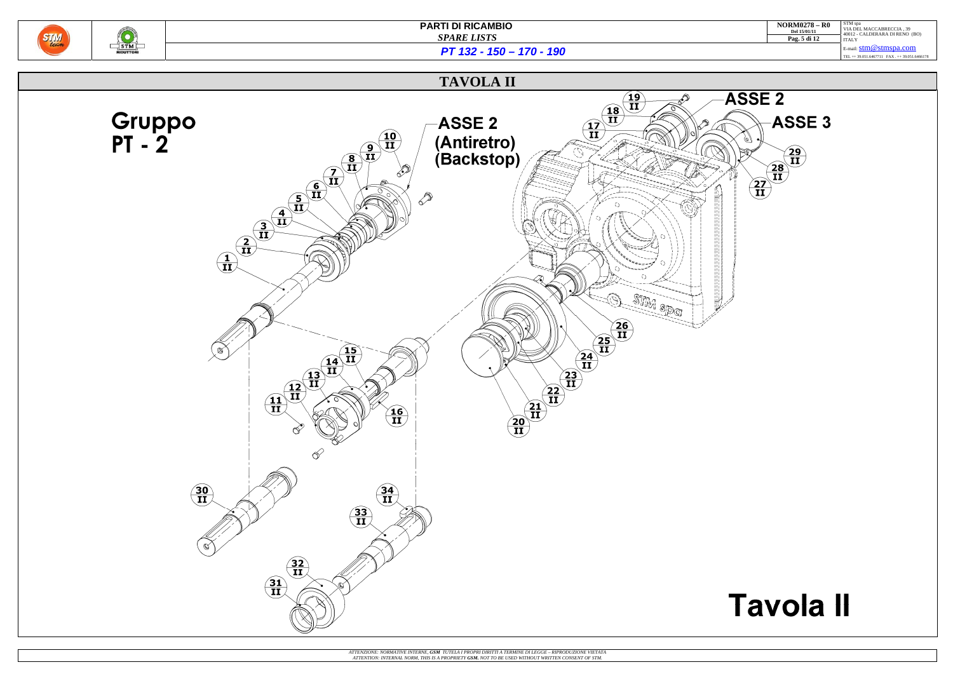

| $NORM0278 - R0$<br>Del 15/01/11<br>Pag. 5 di 12 | STM spa<br>VIA DEL MACCABRECCIA. 39<br>40012 - CALDERARA DI RENO (BO)<br><b>ITALY</b> |
|-------------------------------------------------|---------------------------------------------------------------------------------------|
|                                                 | E-mail: $stm@stmspa.com$                                                              |

TEL ++ 39.051.6467711 FAX . ++ 39.051.6466178

## **Tavola II**

*PT 132 - 150 – 170 - 190*

### **TAVOLA II**

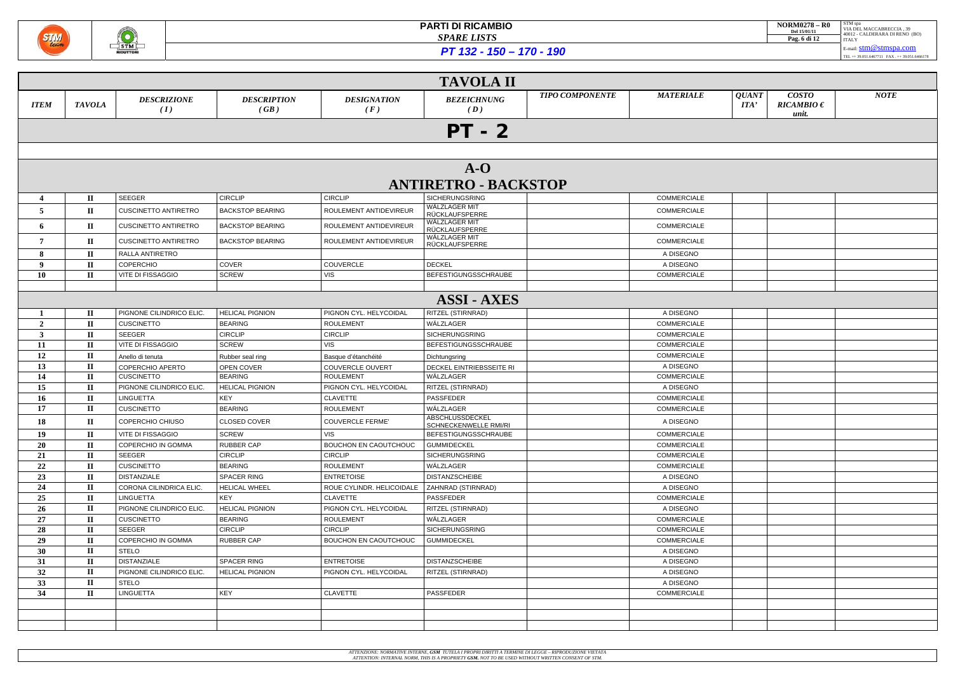

| <b>NORM0278 - R0</b><br>Del 15/01/11 | STM spa<br>VIA DEL MACCABRECCIA, 39            |
|--------------------------------------|------------------------------------------------|
| Pag. 6 di 12                         | 40012 - CALDERARA DI RENO (BO)<br><b>ITALY</b> |
|                                      | $E$ -mail: $stm@stmspa.com$                    |
|                                      | TEL ++ 39.051.6467711 FAX ++ 39.051.6466178    |

*PT 132 - 150 – 170 - 190*

|              | <b>TAVOLA II</b>             |                                    |                            |                              |                                                 |                                            |                      |                                         |             |
|--------------|------------------------------|------------------------------------|----------------------------|------------------------------|-------------------------------------------------|--------------------------------------------|----------------------|-----------------------------------------|-------------|
| <b>ITEM</b>  | <b>TAVOLA</b>                | <b>DESCRIZIONE</b><br>(I)          | <b>DESCRIPTION</b><br>(GB) | <b>DESIGNATION</b><br>(F)    | <b>BEZEICHNUNG</b><br>(D)                       | <b>TIPO COMPONENTE</b><br><b>MATERIALE</b> | <b>QUANT</b><br>ITA' | <b>COSTO</b><br>$RICAMBIO \in$<br>unit. | <b>NOTE</b> |
|              | $PT - 2$                     |                                    |                            |                              |                                                 |                                            |                      |                                         |             |
|              |                              |                                    |                            |                              |                                                 |                                            |                      |                                         |             |
|              |                              |                                    |                            |                              | $A-O$                                           |                                            |                      |                                         |             |
|              |                              |                                    |                            |                              | <b>ANTIRETRO - BACKSTOP</b>                     |                                            |                      |                                         |             |
|              | $\mathbf{I}$                 | <b>SEEGER</b>                      | <b>CIRCLIP</b>             | <b>CIRCLIP</b>               | <b>SICHERUNGSRING</b>                           | COMMERCIALE                                |                      |                                         |             |
| 5            | $\mathbf{I}$                 | <b>CUSCINETTO ANTIRETRO</b>        | <b>BACKSTOP BEARING</b>    | ROULEMENT ANTIDEVIREUR       | WÄLZLAGER MIT<br>RÜCKLAUFSPERRE                 | <b>COMMERCIALE</b>                         |                      |                                         |             |
| 6            | $\mathbf{I}$                 | <b>CUSCINETTO ANTIRETRO</b>        | <b>BACKSTOP BEARING</b>    | ROULEMENT ANTIDEVIREUR       | WÄLZLAGER MIT<br>RÜCKLAUFSPERRE                 | COMMERCIALE                                |                      |                                         |             |
|              | $\mathbf{I}$                 | <b>CUSCINETTO ANTIRETRO</b>        | <b>BACKSTOP BEARING</b>    | ROULEMENT ANTIDEVIREUR       | WÄLZLAGER MIT<br>RÜCKLAUFSPERRE                 | COMMERCIALE                                |                      |                                         |             |
| 8            | $\mathbf{I}$                 | RALLA ANTIRETRO                    |                            |                              |                                                 | A DISEGNO                                  |                      |                                         |             |
| $\bf{Q}$     | $\mathbf{I}$                 | COPERCHIO                          | COVER                      | <b>COUVERCLE</b>             | <b>DECKEL</b>                                   | A DISEGNO                                  |                      |                                         |             |
| <b>10</b>    | $\mathbf{I}$                 | VITE DI FISSAGGIO                  | <b>SCREW</b>               | <b>VIS</b>                   | BEFESTIGUNGSSCHRAUBE                            | COMMERCIALE                                |                      |                                         |             |
|              |                              |                                    |                            |                              |                                                 |                                            |                      |                                         |             |
|              |                              |                                    |                            |                              | <b>ASSI - AXES</b>                              |                                            |                      |                                         |             |
|              | $\mathbf{I}$                 | PIGNONE CILINDRICO ELIC            | <b>HELICAL PIGNION</b>     | PIGNON CYL. HELYCOIDAL       | <b>RITZEL (STIRNRAD)</b>                        | A DISEGNO                                  |                      |                                         |             |
| $\mathbf{2}$ | $\mathbf{I}$                 | <b>CUSCINETTO</b>                  | <b>BEARING</b>             | <b>ROULEMENT</b>             | WÄLZLAGER                                       | COMMERCIALE                                |                      |                                         |             |
| 3            | $\mathbf{I}$                 | SEEGER                             | <b>CIRCLIP</b>             | <b>CIRCLIP</b>               | <b>SICHERUNGSRING</b>                           | COMMERCIALE                                |                      |                                         |             |
| 11           | $\mathbf{I}$                 | <b>VITE DI FISSAGGIO</b>           | <b>SCREW</b>               | <b>VIS</b>                   | BEFESTIGUNGSSCHRAUBE                            | COMMERCIALE                                |                      |                                         |             |
| 12           | $\mathbf{I}$                 | Anello di tenuta                   | Rubber seal ring           | Basque d'étanchéité          | Dichtungsring                                   | COMMERCIALE                                |                      |                                         |             |
| 13           | $\mathbf{I}$                 | COPERCHIO APERTO                   | OPEN COVER                 | <b>COUVERCLE OUVERT</b>      | DECKEL EINTRIEBSSEITE RI                        | A DISEGNO                                  |                      |                                         |             |
| 14           | $\mathbf{I}$                 | <b>CUSCINETTO</b>                  | <b>BEARING</b>             | <b>ROULEMENT</b>             | WÄLZLAGER                                       | COMMERCIALE                                |                      |                                         |             |
| 15           | $\mathbf{I}$                 | PIGNONE CILINDRICO ELIC            | <b>HELICAL PIGNION</b>     | PIGNON CYL. HELYCOIDAL       | RITZEL (STIRNRAD)                               | A DISEGNO                                  |                      |                                         |             |
| 16           | $\mathbf{I}$                 | <b>LINGUETTA</b>                   | KEY                        | <b>CLAVETTE</b>              | PASSFEDER                                       | COMMERCIALE                                |                      |                                         |             |
| 17           | $\mathbf{I}$                 | <b>CUSCINETTO</b>                  | <b>BEARING</b>             | <b>ROULEMENT</b>             | WÄLZLAGER                                       | COMMERCIALE                                |                      |                                         |             |
| 18           | $\mathbf{I}$                 | COPERCHIO CHIUSO                   | CLOSED COVER               | <b>COUVERCLE FERME'</b>      | <b>ABSCHLUSSDECKEL</b><br>SCHNECKENWELLE RMI/RI | A DISEGNO                                  |                      |                                         |             |
| 19           | $\mathbf{I}$                 | <b>VITE DI FISSAGGIO</b>           | <b>SCREW</b>               | <b>VIS</b>                   | BEFESTIGUNGSSCHRAUBE                            | COMMERCIALE                                |                      |                                         |             |
| 20           | $\mathbf{I}$                 | COPERCHIO IN GOMMA                 | <b>RUBBER CAP</b>          | <b>BOUCHON EN CAOUTCHOUC</b> | <b>GUMMIDECKEL</b>                              | COMMERCIALE                                |                      |                                         |             |
| 21           | $\mathbf{I}$                 | SEEGER                             | <b>CIRCLIP</b>             | <b>CIRCLIP</b>               | <b>SICHERUNGSRING</b>                           | COMMERCIALE                                |                      |                                         |             |
| 22           | $\mathbf{I}$                 | <b>CUSCINETTO</b>                  | <b>BEARING</b>             | <b>ROULEMENT</b>             | WÄLZLAGER                                       | COMMERCIALE                                |                      |                                         |             |
| 23           | $\mathbf{I}$                 | <b>DISTANZIALE</b>                 | <b>SPACER RING</b>         | <b>ENTRETOISE</b>            | <b>DISTANZSCHEIBE</b>                           | A DISEGNO                                  |                      |                                         |             |
| 24           | $\mathbf{I}$                 | CORONA CILINDRICA ELIC.            | <b>HELICAL WHEEL</b>       | ROUE CYLINDR. HELICOIDALE    | <b>ZAHNRAD (STIRNRAD)</b>                       | A DISEGNO                                  |                      |                                         |             |
| 25           | $\mathbf{I}$                 | LINGUETTA                          | KEY                        | <b>CLAVETTE</b>              | PASSFEDER                                       | <b>COMMERCIALE</b>                         |                      |                                         |             |
| 26           | $\mathbf{I}$                 | PIGNONE CILINDRICO ELIC.           | <b>HELICAL PIGNION</b>     | PIGNON CYL. HELYCOIDAL       | RITZEL (STIRNRAD)                               | A DISEGNO                                  |                      |                                         |             |
| 27           | $\mathbf{I}$                 | <b>CUSCINETTO</b>                  | <b>BEARING</b>             | <b>ROULEMENT</b>             | WÄLZLAGER                                       | COMMERCIALE                                |                      |                                         |             |
| 28           | $\mathbf{I}$                 | SEEGER                             | <b>CIRCLIP</b>             | <b>CIRCLIP</b>               | <b>SICHERUNGSRING</b>                           | COMMERCIALE                                |                      |                                         |             |
| 29           | $\mathbf{I}$<br>$\mathbf{I}$ | COPERCHIO IN GOMMA                 | <b>RUBBER CAP</b>          | <b>BOUCHON EN CAOUTCHOUC</b> | <b>GUMMIDECKEL</b>                              | COMMERCIALE                                |                      |                                         |             |
| 30           |                              | <b>STELO</b><br><b>DISTANZIALE</b> | <b>SPACER RING</b>         | <b>ENTRETOISE</b>            | <b>DISTANZSCHEIBE</b>                           | A DISEGNO<br>A DISEGNO                     |                      |                                         |             |
| 31           | $\mathbf{I}$<br>$\mathbf{I}$ | PIGNONE CILINDRICO ELIC.           | <b>HELICAL PIGNION</b>     | PIGNON CYL. HELYCOIDAL       |                                                 | A DISEGNO                                  |                      |                                         |             |
| 32<br>33     | $\mathbf{I}$                 | <b>STELO</b>                       |                            |                              | RITZEL (STIRNRAD)                               | A DISEGNO                                  |                      |                                         |             |
| 34           | $\mathbf{I}$                 | LINGUETTA                          | <b>KEY</b>                 | <b>CLAVETTE</b>              | PASSFEDER                                       | COMMERCIALE                                |                      |                                         |             |
|              |                              |                                    |                            |                              |                                                 |                                            |                      |                                         |             |
|              |                              |                                    |                            |                              |                                                 |                                            |                      |                                         |             |
|              |                              |                                    |                            |                              |                                                 |                                            |                      |                                         |             |
|              |                              |                                    |                            |                              |                                                 |                                            |                      |                                         |             |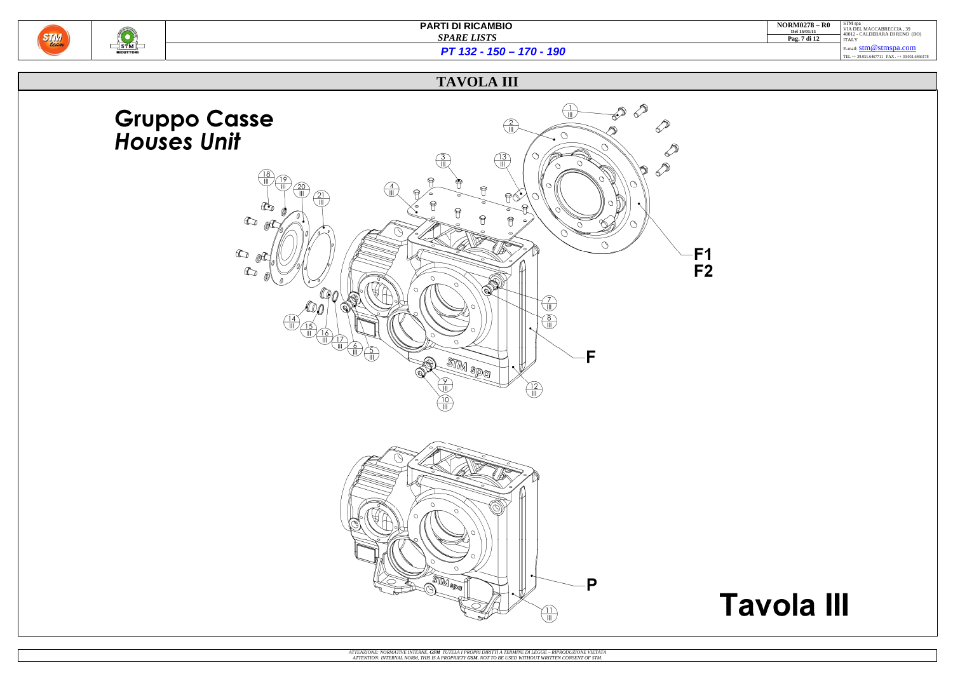

| <b>NORM0278 - R0</b><br>Del 15/01/11<br>Pag. 7 di 12 | STM spa<br>VIA DEL MACCABRECCIA. 39<br>40012 - CALDERARA DI RENO (BO)<br><b>ITALY</b> |
|------------------------------------------------------|---------------------------------------------------------------------------------------|
|                                                      | $E$ -mail: $stm@stmspa.com$                                                           |
|                                                      | TEL ++ 39.051.6467711 FAX ++ 39.051.6466178                                           |

## **Tavola III**

*PT 132 - 150 – 170 - 190*

## **TAVOLA III**

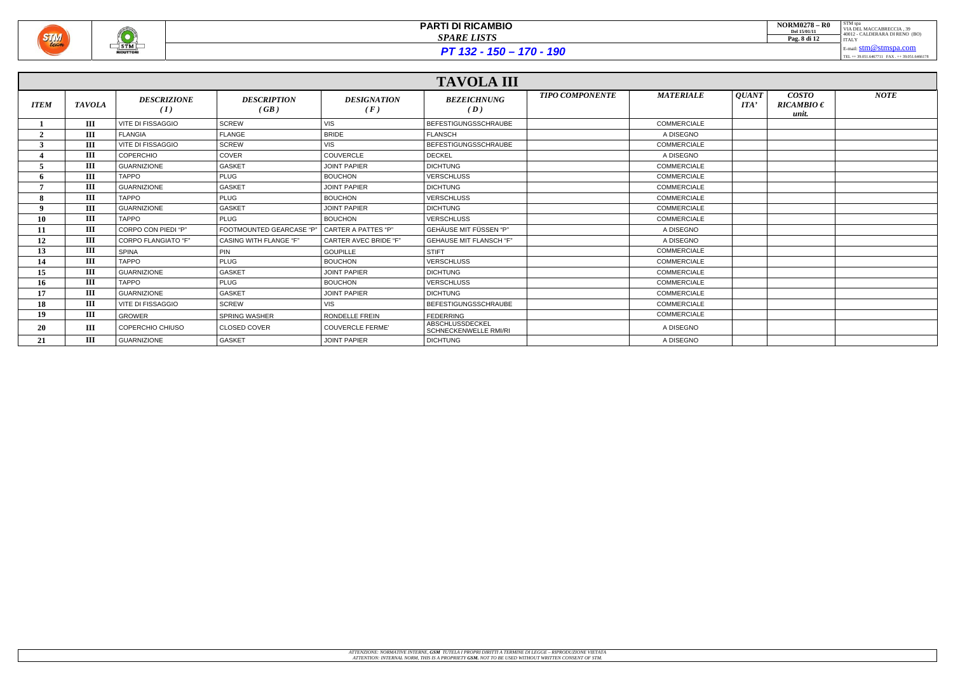

 $PT 132 - 150 - 170 - 190$ 

|             |               |                            |                                 |                              | <b>TAVOLA III</b>                        |                        |                    |                                                                                      |                                         |             |
|-------------|---------------|----------------------------|---------------------------------|------------------------------|------------------------------------------|------------------------|--------------------|--------------------------------------------------------------------------------------|-----------------------------------------|-------------|
| <b>ITEM</b> | <b>TAVOLA</b> | <b>DESCRIZIONE</b><br>(I)  | <b>DESCRIPTION</b><br>(GB)      | <b>DESIGNATION</b><br>(F)    | <b>BEZEICHNUNG</b><br>(D)                | <b>TIPO COMPONENTE</b> | <b>MATERIALE</b>   | <i><b>QUANT</b></i><br>$\boldsymbol{I} \boldsymbol{I} \boldsymbol{I} \boldsymbol{A}$ | <b>COSTO</b><br>$RICAMBIO \in$<br>unit. | <b>NOTE</b> |
|             | Ш             | <b>VITE DI FISSAGGIO</b>   | <b>SCREW</b>                    | <b>VIS</b>                   | <b>BEFESTIGUNGSSCHRAUBE</b>              |                        | <b>COMMERCIALE</b> |                                                                                      |                                         |             |
|             | Ш             | <b>FLANGIA</b>             | <b>FLANGE</b>                   | <b>BRIDE</b>                 | <b>FLANSCH</b>                           |                        | A DISEGNO          |                                                                                      |                                         |             |
|             | $\rm III$     | <b>VITE DI FISSAGGIO</b>   | <b>SCREW</b>                    | <b>VIS</b>                   | <b>BEFESTIGUNGSSCHRAUBE</b>              |                        | <b>COMMERCIALE</b> |                                                                                      |                                         |             |
|             | Ш             | <b>COPERCHIO</b>           | COVER                           | <b>COUVERCLE</b>             | <b>DECKEL</b>                            |                        | A DISEGNO          |                                                                                      |                                         |             |
|             | Ш             | <b>GUARNIZIONE</b>         | <b>GASKET</b>                   | <b>JOINT PAPIER</b>          | <b>DICHTUNG</b>                          |                        | <b>COMMERCIALE</b> |                                                                                      |                                         |             |
|             | III           | <b>TAPPO</b>               | <b>PLUG</b>                     | <b>BOUCHON</b>               | <b>VERSCHLUSS</b>                        |                        | <b>COMMERCIALE</b> |                                                                                      |                                         |             |
|             | III           | <b>GUARNIZIONE</b>         | <b>GASKET</b>                   | <b>JOINT PAPIER</b>          | <b>DICHTUNG</b>                          |                        | <b>COMMERCIALE</b> |                                                                                      |                                         |             |
|             | III           | <b>TAPPO</b>               | <b>PLUG</b>                     | <b>BOUCHON</b>               | <b>VERSCHLUSS</b>                        |                        | <b>COMMERCIALE</b> |                                                                                      |                                         |             |
|             | Ш             | <b>GUARNIZIONE</b>         | <b>GASKET</b>                   | <b>JOINT PAPIER</b>          | <b>DICHTUNG</b>                          |                        | <b>COMMERCIALE</b> |                                                                                      |                                         |             |
| 10          | III           | <b>TAPPO</b>               | <b>PLUG</b>                     | <b>BOUCHON</b>               | <b>VERSCHLUSS</b>                        |                        | <b>COMMERCIALE</b> |                                                                                      |                                         |             |
| 11          | Ш             | CORPO CON PIEDI "P"        | <b>FOOTMOUNTED GEARCASE "P"</b> | l CARTER A PATTES "P"        | GEHÄUSE MIT FÜSSEN "P"                   |                        | A DISEGNO          |                                                                                      |                                         |             |
| 12          | III           | <b>CORPO FLANGIATO "F"</b> | <b>CASING WITH FLANGE "F"</b>   | <b>CARTER AVEC BRIDE "F"</b> | <b>GEHAUSE MIT FLANSCH "F"</b>           |                        | A DISEGNO          |                                                                                      |                                         |             |
| 13          | Ш             | <b>SPINA</b>               | PIN                             | <b>GOUPILLE</b>              | <b>STIFT</b>                             |                        | <b>COMMERCIALE</b> |                                                                                      |                                         |             |
| 14          | Ш             | <b>TAPPO</b>               | <b>PLUG</b>                     | <b>BOUCHON</b>               | <b>VERSCHLUSS</b>                        |                        | <b>COMMERCIALE</b> |                                                                                      |                                         |             |
| 15          | III           | <b>GUARNIZIONE</b>         | <b>GASKET</b>                   | <b>JOINT PAPIER</b>          | <b>DICHTUNG</b>                          |                        | <b>COMMERCIALE</b> |                                                                                      |                                         |             |
| 16          | Ш             | <b>TAPPO</b>               | <b>PLUG</b>                     | <b>BOUCHON</b>               | <b>VERSCHLUSS</b>                        |                        | <b>COMMERCIALE</b> |                                                                                      |                                         |             |
| 17          | Ш             | <b>GUARNIZIONE</b>         | <b>GASKET</b>                   | <b>JOINT PAPIER</b>          | <b>DICHTUNG</b>                          |                        | <b>COMMERCIALE</b> |                                                                                      |                                         |             |
| 18          | Ш             | <b>VITE DI FISSAGGIO</b>   | <b>SCREW</b>                    | <b>VIS</b>                   | <b>BEFESTIGUNGSSCHRAUBE</b>              |                        | <b>COMMERCIALE</b> |                                                                                      |                                         |             |
| 19          | Ш             | <b>GROWER</b>              | <b>SPRING WASHER</b>            | RONDELLE FREIN               | <b>FEDERRING</b>                         |                        | <b>COMMERCIALE</b> |                                                                                      |                                         |             |
| 20          | Ш             | COPERCHIO CHIUSO           | <b>CLOSED COVER</b>             | <b>COUVERCLE FERME'</b>      | ABSCHLUSSDECKEL<br>SCHNECKENWELLE RMI/RI |                        | A DISEGNO          |                                                                                      |                                         |             |
| 21          | Ш             | <b>GUARNIZIONE</b>         | <b>GASKET</b>                   | <b>JOINT PAPIER</b>          | <b>DICHTUNG</b>                          |                        | A DISEGNO          |                                                                                      |                                         |             |

| <b>NORM0278 - R0</b><br>Del 15/01/11 | STM spa<br>VIA DEL MACCABRECCIA. 39<br>40012 - CALDERARA DI RENO (BO) |
|--------------------------------------|-----------------------------------------------------------------------|
| Pag. 8 di 12                         | <b>ITALY</b>                                                          |
|                                      | E-mail: $stm@stmspa.com$                                              |
|                                      | TEL ++ 39.051.6467711 FAX . ++ 39.051.6466178                         |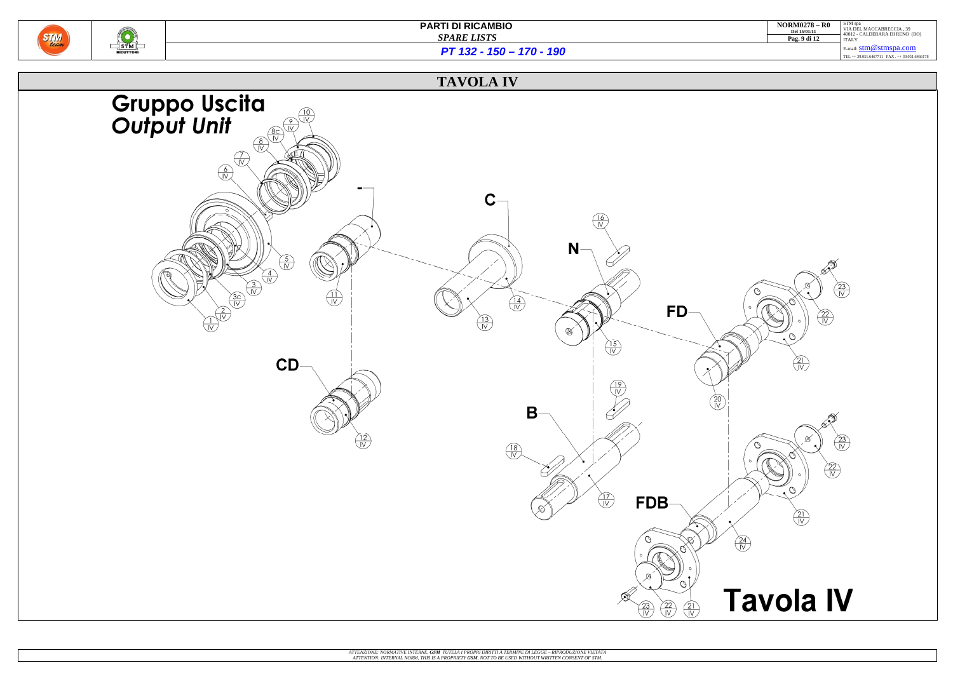

| $NORM0278 - R0$<br>Del 15/01/11 | STM spa<br>VIA DEL MACCABRECCIA. 39<br>40012 - CALDERARA DI RENO (BO) |
|---------------------------------|-----------------------------------------------------------------------|
| Pag. 9 di 12                    | <b>ITALY</b>                                                          |
|                                 | $E$ -mail: $stm@stmspa.com$                                           |
|                                 | TEL ++ 39.051.6467711 FAX ++ 39.051.6466178                           |
|                                 |                                                                       |

*PT 132 - 150 – 170 - 190*

## **TAVOLA IV**

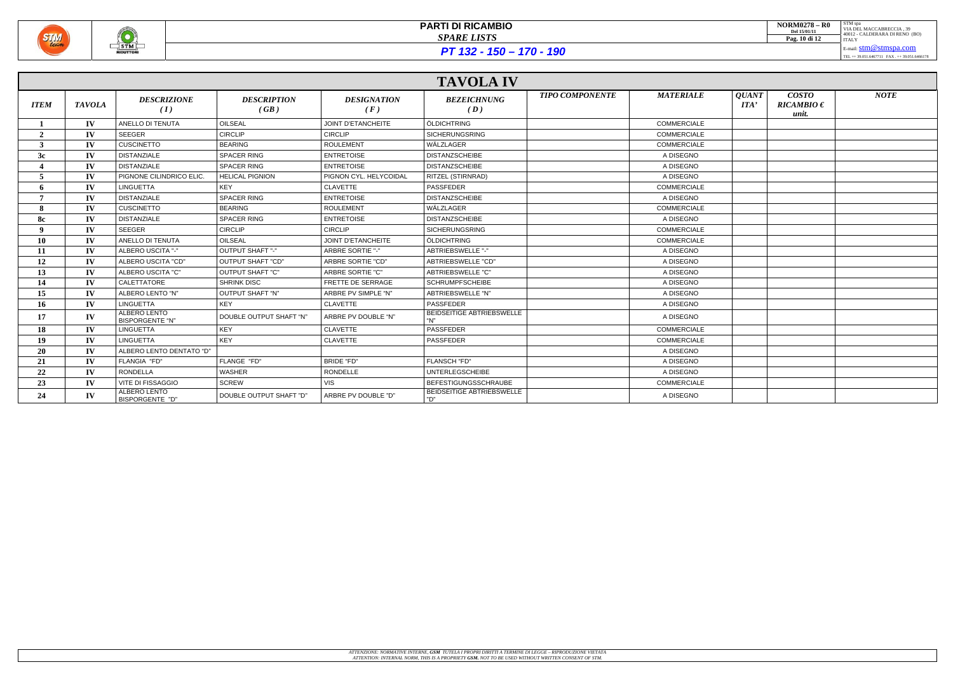

 $PT 132 - 150 - 170 - 190$ 

|              |               |                                        |                            |                           | <b>TAVOLA IV</b>                        |                        |                    |                      |                                         |             |
|--------------|---------------|----------------------------------------|----------------------------|---------------------------|-----------------------------------------|------------------------|--------------------|----------------------|-----------------------------------------|-------------|
| <b>ITEM</b>  | <b>TAVOLA</b> | <b>DESCRIZIONE</b><br>(I)              | <b>DESCRIPTION</b><br>(GB) | <b>DESIGNATION</b><br>(F) | <b>BEZEICHNUNG</b><br>(D)               | <b>TIPO COMPONENTE</b> | <b>MATERIALE</b>   | <b>QUANT</b><br>ITA' | <b>COSTO</b><br>$RICAMBIO \in$<br>unit. | <b>NOTE</b> |
|              | $\mathbf{IV}$ | ANELLO DI TENUTA                       | OILSEAL                    | <b>JOINT D'ETANCHEITE</b> | ÖLDICHTRING                             |                        | <b>COMMERCIALE</b> |                      |                                         |             |
| $\mathbf{2}$ | $\mathbf{IV}$ | <b>SEEGER</b>                          | <b>CIRCLIP</b>             | <b>CIRCLIP</b>            | <b>SICHERUNGSRING</b>                   |                        | <b>COMMERCIALE</b> |                      |                                         |             |
| 3            | $\mathbf{IV}$ | <b>CUSCINETTO</b>                      | <b>BEARING</b>             | <b>ROULEMENT</b>          | WÄLZLAGER                               |                        | <b>COMMERCIALE</b> |                      |                                         |             |
| 3c           | $\mathbf{IV}$ | <b>DISTANZIALE</b>                     | <b>SPACER RING</b>         | <b>ENTRETOISE</b>         | <b>DISTANZSCHEIBE</b>                   |                        | A DISEGNO          |                      |                                         |             |
|              | IV            | <b>DISTANZIALE</b>                     | SPACER RING                | <b>ENTRETOISE</b>         | <b>DISTANZSCHEIBE</b>                   |                        | A DISEGNO          |                      |                                         |             |
| 5            | $\mathbf{IV}$ | PIGNONE CILINDRICO ELIC                | <b>HELICAL PIGNION</b>     | PIGNON CYL. HELYCOIDAL    | <b>RITZEL (STIRNRAD)</b>                |                        | A DISEGNO          |                      |                                         |             |
| 6            | $\mathbf{IV}$ | <b>LINGUETTA</b>                       | <b>KEY</b>                 | <b>CLAVETTE</b>           | <b>PASSFEDER</b>                        |                        | <b>COMMERCIALE</b> |                      |                                         |             |
|              | $\mathbf{IV}$ | <b>DISTANZIALE</b>                     | <b>SPACER RING</b>         | <b>ENTRETOISE</b>         | <b>DISTANZSCHEIBE</b>                   |                        | A DISEGNO          |                      |                                         |             |
| 8            | IV            | <b>CUSCINETTO</b>                      | <b>BEARING</b>             | <b>ROULEMENT</b>          | WÄLZLAGER                               |                        | <b>COMMERCIALE</b> |                      |                                         |             |
| <b>8c</b>    | IV            | <b>DISTANZIALE</b>                     | <b>SPACER RING</b>         | <b>ENTRETOISE</b>         | <b>DISTANZSCHEIBE</b>                   |                        | A DISEGNO          |                      |                                         |             |
| Q            | $\mathbf{IV}$ | SEEGER                                 | <b>CIRCLIP</b>             | <b>CIRCLIP</b>            | <b>SICHERUNGSRING</b>                   |                        | <b>COMMERCIALE</b> |                      |                                         |             |
| 10           | IV            | ANELLO DI TENUTA                       | OILSEAL                    | JOINT D'ETANCHEITE        | ÖLDICHTRING                             |                        | <b>COMMERCIALE</b> |                      |                                         |             |
| 11           | $\mathbf{IV}$ | ALBERO USCITA "-"                      | OUTPUT SHAFT "-"           | <b>ARBRE SORTIE "-"</b>   | ABTRIEBSWELLE "-"                       |                        | A DISEGNO          |                      |                                         |             |
| 12           | IV            | ALBERO USCITA "CD"                     | OUTPUT SHAFT "CD"          | ARBRE SORTIE "CD"         | ABTRIEBSWELLE "CD"                      |                        | A DISEGNO          |                      |                                         |             |
| 13           | $\mathbf{IV}$ | ALBERO USCITA "C"                      | OUTPUT SHAFT "C"           | ARBRE SORTIE "C"          | <b>ABTRIEBSWELLE "C"</b>                |                        | A DISEGNO          |                      |                                         |             |
| 14           | IV            | <b>CALETTATORE</b>                     | <b>SHRINK DISC</b>         | FRETTE DE SERRAGE         | <b>SCHRUMPFSCHEIBE</b>                  |                        | A DISEGNO          |                      |                                         |             |
| 15           | IV            | ALBERO LENTO "N"                       | <b>OUTPUT SHAFT "N"</b>    | ARBRE PV SIMPLE "N"       | ABTRIEBSWELLE "N"                       |                        | A DISEGNO          |                      |                                         |             |
| 16           | IV            | <b>LINGUETTA</b>                       | KEY                        | <b>CLAVETTE</b>           | <b>PASSFEDER</b>                        |                        | A DISEGNO          |                      |                                         |             |
| 17           | $\mathbf{IV}$ | ALBERO LENTO<br><b>BISPORGENTE "N"</b> | DOUBLE OUTPUT SHAFT "N"    | ARBRE PV DOUBLE "N"       | <b>BEIDSEITIGE ABTRIEBSWELLE</b><br>"N" |                        | A DISEGNO          |                      |                                         |             |
| 18           | $\mathbf{IV}$ | <b>LINGUETTA</b>                       | <b>KEY</b>                 | <b>CLAVETTE</b>           | <b>PASSFEDER</b>                        |                        | <b>COMMERCIALE</b> |                      |                                         |             |
| 19           | $\mathbf{IV}$ | <b>LINGUETTA</b>                       | <b>KEY</b>                 | <b>CLAVETTE</b>           | <b>PASSFEDER</b>                        |                        | <b>COMMERCIALE</b> |                      |                                         |             |
| 20           | IV            | ALBERO LENTO DENTATO "D"               |                            |                           |                                         |                        | A DISEGNO          |                      |                                         |             |
| 21           | $\mathbf{IV}$ | FLANGIA "FD"                           | FLANGE "FD"                | BRIDE "FD"                | FLANSCH "FD"                            |                        | A DISEGNO          |                      |                                         |             |
| 22           | $\mathbf{IV}$ | <b>RONDELLA</b>                        | WASHER                     | RONDELLE                  | <b>UNTERLEGSCHEIBE</b>                  |                        | A DISEGNO          |                      |                                         |             |
| 23           | IV            | <b>VITE DI FISSAGGIO</b>               | <b>SCREW</b>               | <b>VIS</b>                | <b>BEFESTIGUNGSSCHRAUBE</b>             |                        | COMMERCIALE        |                      |                                         |             |
| 24           | $\mathbf{IV}$ | ALBERO LENTO<br>BISPORGENTE "D"        | DOUBLE OUTPUT SHAFT "D"    | ARBRE PV DOUBLE "D"       | BEIDSEITIGE ABTRIEBSWELLE<br>"D"        |                        | A DISEGNO          |                      |                                         |             |

| <b>NORM0278 - R0</b><br>Del 15/01/11<br>Pag. 10 di 12 | STM spa<br>VIA DEL MACCABRECCIA. 39<br>40012 - CALDERARA DI RENO (BO)<br><b>ITALY</b> |
|-------------------------------------------------------|---------------------------------------------------------------------------------------|
|                                                       | E-mail: $stm@stmspa.com$                                                              |
|                                                       | TEL ++ 39.051.6467711 FAX ++ 39.051.6466178                                           |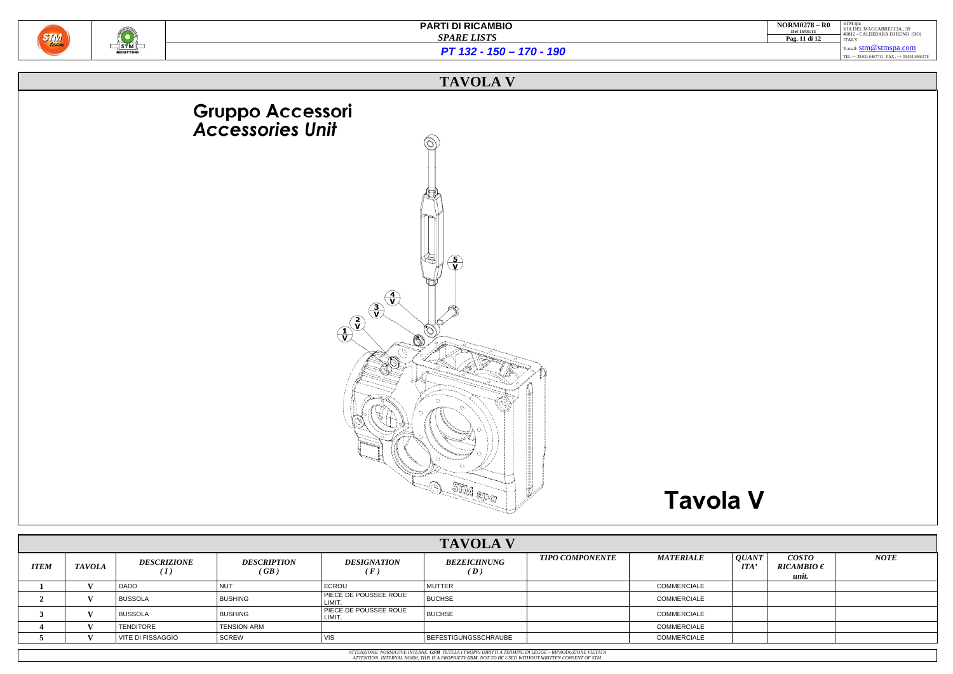

| <b>NORM0278 - R0</b><br>Del 15/01/11<br>Pag. 11 di 12 | STM spa<br>VIA DEL MACCABRECCIA, 39<br>40012 - CALDERARA DI RENO (BO)<br><b>ITALY</b> |
|-------------------------------------------------------|---------------------------------------------------------------------------------------|
|                                                       | E-mail: $stm@stmspa.com$<br>TEL ++ 39.051.6467711 FAX ++ 39.051.6466178               |
|                                                       |                                                                                       |

*PT 132 - 150 – 170 - 190*

### **TAVOLA V**



|             |               |                           |                            |                                       | <b>TAVOLA V</b>             |                        |                    |                                   |                                  |             |
|-------------|---------------|---------------------------|----------------------------|---------------------------------------|-----------------------------|------------------------|--------------------|-----------------------------------|----------------------------------|-------------|
| <b>ITEM</b> | <b>TAVOLA</b> | <b>DESCRIZIONE</b><br>(1) | <b>DESCRIPTION</b><br>(GB) | DESIGNATION<br>$\sqrt{F}$             | <b>BEZEICHNUNG</b><br>(D)   | <b>TIPO COMPONENTE</b> | <b>MATERIALE</b>   | <i><b>QUANT</b></i><br><b>ITA</b> | COSTO<br>$RICAMBIO \in$<br>unit. | <b>NOTE</b> |
|             |               | <b>DADO</b>               | <b>NUT</b>                 | <b>ECROU</b>                          | <b>MUTTER</b>               |                        | COMMERCIALE        |                                   |                                  |             |
|             |               | <b>BUSSOLA</b>            | <b>BUSHING</b>             | <b>PIECE DE POUSSEE ROUE</b><br>LIMIT | <b>BUCHSE</b>               |                        | <b>COMMERCIALE</b> |                                   |                                  |             |
|             |               | <b>BUSSOLA</b>            | <b>BUSHING</b>             | PIECE DE POUSSEE ROUE<br>LIMIT.       | <b>BUCHSE</b>               |                        | COMMERCIALE        |                                   |                                  |             |
|             |               | TENDITORE                 | <b>TENSION ARM</b>         |                                       |                             |                        | COMMERCIALE        |                                   |                                  |             |
|             |               | VITE DI FISSAGGIO         | SCREW                      | VIS                                   | <b>BEFESTIGUNGSSCHRAUBE</b> |                        | <b>COMMERCIALE</b> |                                   |                                  |             |
|             |               |                           |                            |                                       |                             |                        |                    |                                   |                                  |             |